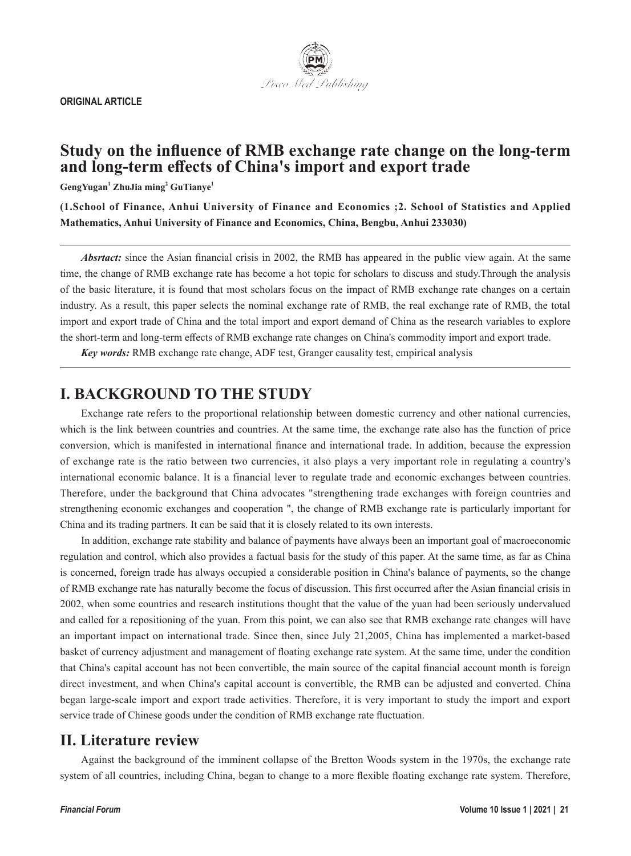**ORIGINAL ARTICLE**



# **Study on the influence of RMB exchange rate change on the long-term and long-term effects of China's import and export trade**

**GengYugan<sup>1</sup> ZhuJia ming<sup>2</sup> GuTianye1**

**(1.School of Finance, Anhui University of Finance and Economics ;2. School of Statistics and Applied Mathematics, Anhui University of Finance and Economics, China, Bengbu, Anhui 233030)**

*Absrtact:* since the Asian financial crisis in 2002, the RMB has appeared in the public view again. At the same time, the change of RMB exchange rate has become a hot topic for scholars to discuss and study.Through the analysis of the basic literature, it is found that most scholars focus on the impact of RMB exchange rate changes on a certain industry. As a result, this paper selects the nominal exchange rate of RMB, the real exchange rate of RMB, the total import and export trade of China and the total import and export demand of China as the research variables to explore the short-term and long-term effects of RMB exchange rate changes on China's commodity import and export trade.

*Key words:* RMB exchange rate change, ADF test, Granger causality test, empirical analysis

# **I. BACKGROUND TO THE STUDY**

Exchange rate refers to the proportional relationship between domestic currency and other national currencies, which is the link between countries and countries. At the same time, the exchange rate also has the function of price conversion, which is manifested in international finance and international trade. In addition, because the expression of exchange rate is the ratio between two currencies, it also plays a very important role in regulating a country's international economic balance. It is a financial lever to regulate trade and economic exchanges between countries. Therefore, under the background that China advocates "strengthening trade exchanges with foreign countries and strengthening economic exchanges and cooperation ", the change of RMB exchange rate is particularly important for China and its trading partners. It can be said that it is closely related to its own interests.

In addition, exchange rate stability and balance of payments have always been an important goal of macroeconomic regulation and control, which also provides a factual basis for the study of this paper. At the same time, as far as China is concerned, foreign trade has always occupied a considerable position in China's balance of payments, so the change of RMB exchange rate has naturally become the focus of discussion. This first occurred after the Asian financial crisis in 2002, when some countries and research institutions thought that the value of the yuan had been seriously undervalued and called for a repositioning of the yuan. From this point, we can also see that RMB exchange rate changes will have an important impact on international trade. Since then, since July 21,2005, China has implemented a market-based basket of currency adjustment and management of floating exchange rate system. At the same time, under the condition that China's capital account has not been convertible, the main source of the capital financial account month is foreign direct investment, and when China's capital account is convertible, the RMB can be adjusted and converted. China began large-scale import and export trade activities. Therefore, it is very important to study the import and export service trade of Chinese goods under the condition of RMB exchange rate fluctuation.

## **II. Literature review**

Against the background of the imminent collapse of the Bretton Woods system in the 1970s, the exchange rate system of all countries, including China, began to change to a more flexible floating exchange rate system. Therefore,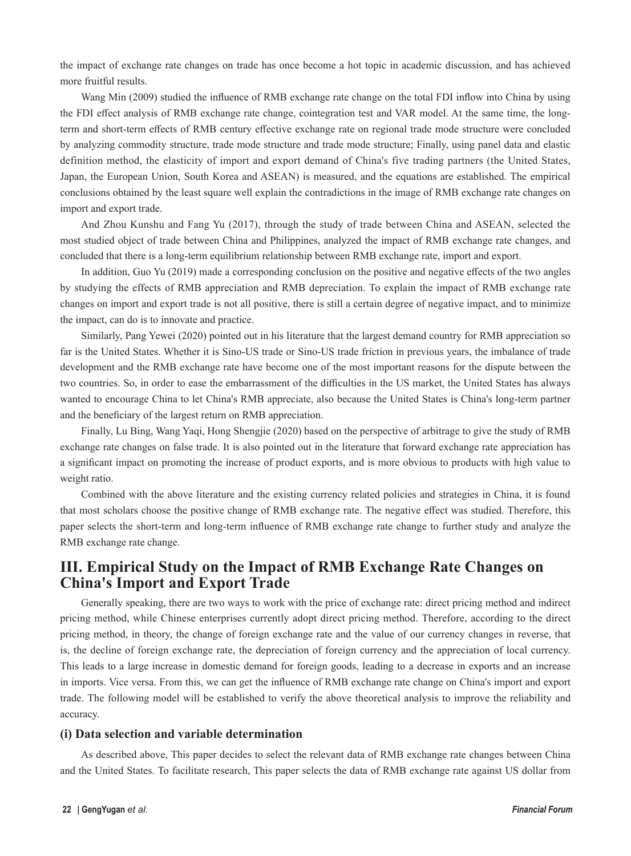the impact of exchange rate changes on trade has once become a hot topic in academic discussion, and has achieved more fruitful results.

Wang Min (2009) studied the influence of RMB exchange rate change on the total FDI inflow into China by using the FDI effect analysis of RMB exchange rate change, cointegration test and VAR model. At the same time, the longterm and short-term effects of RMB century effective exchange rate on regional trade mode structure were concluded by analyzing commodity structure, trade mode structure and trade mode structure; Finally, using panel data and elastic definition method, the elasticity of import and export demand of China's five trading partners (the United States, Japan, the European Union, South Korea and ASEAN) is measured, and the equations are established. The empirical conclusions obtained by the least square well explain the contradictions in the image of RMB exchange rate changes on import and export trade.

And Zhou Kunshu and Fang Yu (2017), through the study of trade between China and ASEAN, selected the most studied object of trade between China and Philippines, analyzed the impact of RMB exchange rate changes, and concluded that there is a long-term equilibrium relationship between RMB exchange rate, import and export.

In addition, Guo Yu (2019) made a corresponding conclusion on the positive and negative effects of the two angles by studying the effects of RMB appreciation and RMB depreciation. To explain the impact of RMB exchange rate changes on import and export trade is not all positive, there is still a certain degree of negative impact, and to minimize the impact, can do is to innovate and practice.

Similarly, Pang Yewei (2020) pointed out in his literature that the largest demand country for RMB appreciation so far is the United States. Whether it is Sino-US trade or Sino-US trade friction in previous years, the imbalance of trade development and the RMB exchange rate have become one of the most important reasons for the dispute between the two countries. So, in order to ease the embarrassment of the difficulties in the US market, the United States has always wanted to encourage China to let China's RMB appreciate, also because the United States is China's long-term partner and the beneficiary of the largest return on RMB appreciation.

Finally, Lu Bing, Wang Yaqi, Hong Shengjie (2020) based on the perspective of arbitrage to give the study of RMB exchange rate changes on false trade. It is also pointed out in the literature that forward exchange rate appreciation has a significant impact on promoting the increase of product exports, and is more obvious to products with high value to weight ratio.

Combined with the above literature and the existing currency related policies and strategies in China, it is found that most scholars choose the positive change of RMB exchange rate. The negative effect was studied. Therefore, this paper selects the short-term and long-term influence of RMB exchange rate change to further study and analyze the RMB exchange rate change.

# **III. Empirical Study on the Impact of RMB Exchange Rate Changes on China's Import and Export Trade**

Generally speaking, there are two ways to work with the price of exchange rate: direct pricing method and indirect pricing method, while Chinese enterprises currently adopt direct pricing method. Therefore, according to the direct pricing method, in theory, the change of foreign exchange rate and the value of our currency changes in reverse, that is, the decline of foreign exchange rate, the depreciation of foreign currency and the appreciation of local currency. This leads to a large increase in domestic demand for foreign goods, leading to a decrease in exports and an increase in imports. Vice versa. From this, we can get the influence of RMB exchange rate change on China's import and export trade. The following model will be established to verify the above theoretical analysis to improve the reliability and accuracy.

### **(i) Data selection and variable determination**

As described above, This paper decides to select the relevant data of RMB exchange rate changes between China and the United States. To facilitate research, This paper selects the data of RMB exchange rate against US dollar from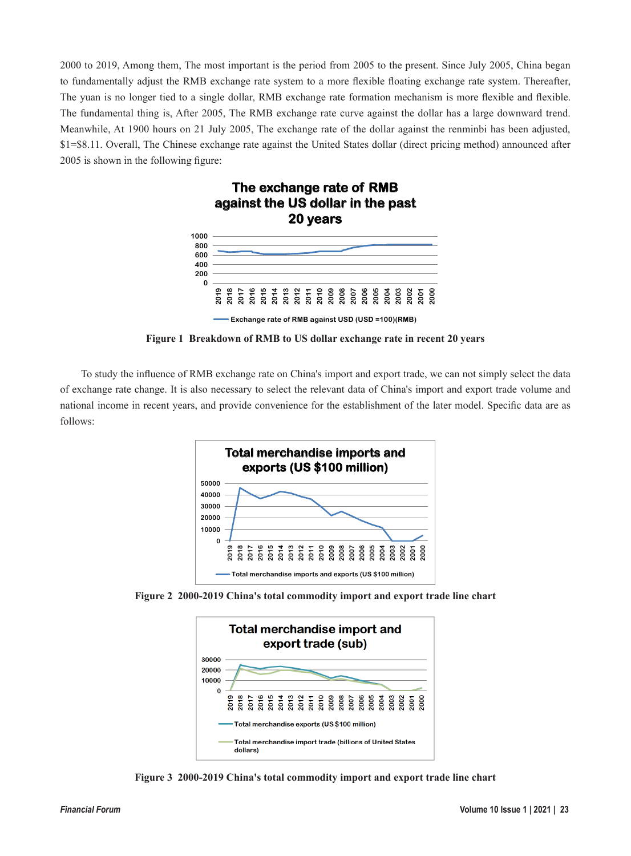2000 to 2019, Among them, The most important is the period from 2005 to the present. Since July 2005, China began to fundamentally adjust the RMB exchange rate system to a more flexible floating exchange rate system. Thereafter, The yuan is no longer tied to a single dollar, RMB exchange rate formation mechanism is more flexible and flexible. The fundamental thing is, After 2005, The RMB exchange rate curve against the dollar has a large downward trend. Meanwhile, At 1900 hours on 21 July 2005, The exchange rate of the dollar against the renminbi has been adjusted, \$1=\$8.11. Overall, The Chinese exchange rate against the United States dollar (direct pricing method) announced after 2005 is shown in the following figure:



**Figure 1 Breakdown of RMB to US dollar exchange rate in recent 20 years**

To study the influence of RMB exchange rate on China's import and export trade, we can not simply select the data of exchange rate change. It is also necessary to select the relevant data of China's import and export trade volume and national income in recent years, and provide convenience for the establishment of the later model. Specific data are as follows:



**Figure 2 2000-2019 China's total commodity import and export trade line chart**



**Figure 3 2000-2019 China's total commodity import and export trade line chart**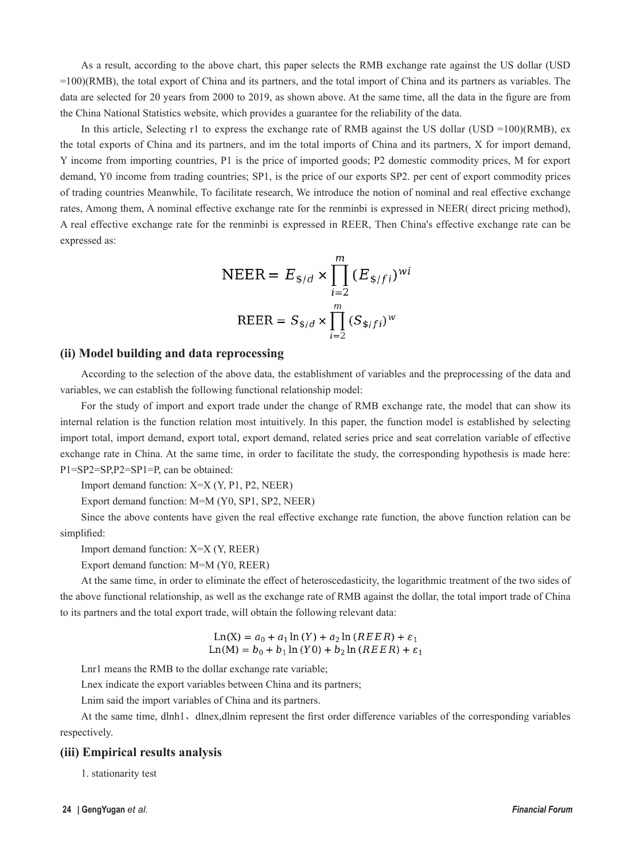As a result, according to the above chart, this paper selects the RMB exchange rate against the US dollar (USD =100)(RMB), the total export of China and its partners, and the total import of China and its partners as variables. The data are selected for 20 years from 2000 to 2019, as shown above. At the same time, all the data in the figure are from the China National Statistics website, which provides a guarantee for the reliability of the data.

In this article, Selecting r1 to express the exchange rate of RMB against the US dollar (USD =100)(RMB), ex the total exports of China and its partners, and im the total imports of China and its partners, X for import demand, Y income from importing countries, P1 is the price of imported goods; P2 domestic commodity prices, M for export demand, Y0 income from trading countries; SP1, is the price of our exports SP2. per cent of export commodity prices of trading countries Meanwhile, To facilitate research, We introduce the notion of nominal and real effective exchange rates, Among them, A nominal effective exchange rate for the renminbi is expressed in NEER( direct pricing method), A real effective exchange rate for the renminbi is expressed in REER, Then China's effective exchange rate can be expressed as:

$$
NEER = E_{\frac{\$}{d}} \times \prod_{i=2}^{m} (E_{\frac{\$}{f}})^{wi}
$$
  
 
$$
REER = S_{\frac{\$}{d}} \times \prod_{i=2}^{m} (S_{\frac{\$}{f}})^{w}
$$

#### **(ii) Model building and data reprocessing**

According to the selection of the above data, the establishment of variables and the preprocessing of the data and variables, we can establish the following functional relationship model:

For the study of import and export trade under the change of RMB exchange rate, the model that can show its internal relation is the function relation most intuitively. In this paper, the function model is established by selecting import total, import demand, export total, export demand, related series price and seat correlation variable of effective exchange rate in China. At the same time, in order to facilitate the study, the corresponding hypothesis is made here: P1=SP2=SP,P2=SP1=P, can be obtained:

Import demand function: X=X (Y, P1, P2, NEER)

Export demand function: M=M (Y0, SP1, SP2, NEER)

Since the above contents have given the real effective exchange rate function, the above function relation can be simplified:

Import demand function: X=X (Y, REER)

Export demand function: M=M (Y0, REER)

At the same time, in order to eliminate the effect of heteroscedasticity, the logarithmic treatment of the two sides of the above functional relationship, as well as the exchange rate of RMB against the dollar, the total import trade of China to its partners and the total export trade, will obtain the following relevant data:

$$
\text{Ln}(X) = a_0 + a_1 \ln(Y) + a_2 \ln(REER) + \varepsilon_1
$$
  
 
$$
\text{Ln}(M) = b_0 + b_1 \ln(Y0) + b_2 \ln(REER) + \varepsilon_1
$$

Lnr1 means the RMB to the dollar exchange rate variable;

Lnex indicate the export variables between China and its partners;

Lnim said the import variables of China and its partners.

At the same time, dlnh1、dlnex,dlnim represent the first order difference variables of the corresponding variables respectively.

#### **(iii) Empirical results analysis**

1. stationarity test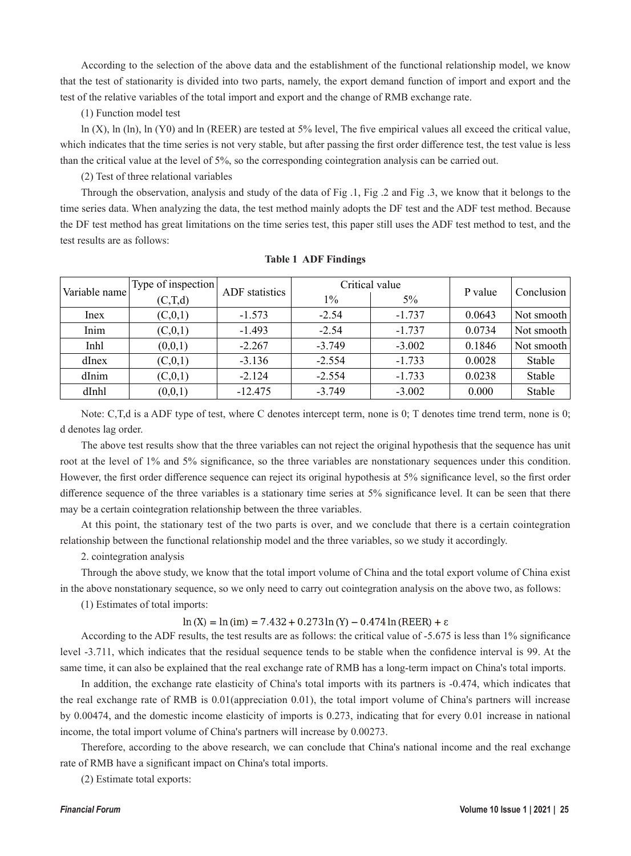According to the selection of the above data and the establishment of the functional relationship model, we know that the test of stationarity is divided into two parts, namely, the export demand function of import and export and the test of the relative variables of the total import and export and the change of RMB exchange rate.

(1) Function model test

ln (X), ln (ln), ln (Y0) and ln (REER) are tested at 5% level, The five empirical values all exceed the critical value, which indicates that the time series is not very stable, but after passing the first order difference test, the test value is less than the critical value at the level of 5%, so the corresponding cointegration analysis can be carried out.

(2) Test of three relational variables

Through the observation, analysis and study of the data of Fig .1, Fig .2 and Fig .3, we know that it belongs to the time series data. When analyzing the data, the test method mainly adopts the DF test and the ADF test method. Because the DF test method has great limitations on the time series test, this paper still uses the ADF test method to test, and the test results are as follows:

| Variable name | Type of inspection | ADF statistics | Critical value |          | P value | Conclusion |
|---------------|--------------------|----------------|----------------|----------|---------|------------|
|               | (C,T,d)            |                | 1%             | $5\%$    |         |            |
| Inex          | (C, 0, 1)          | $-1.573$       | $-2.54$        | $-1.737$ | 0.0643  | Not smooth |
| Inim          | (C, 0, 1)          | $-1.493$       | $-2.54$        | $-1.737$ | 0.0734  | Not smooth |
| Inhl          | (0,0,1)            | $-2.267$       | $-3.749$       | $-3.002$ | 0.1846  | Not smooth |
| dInex         | (C, 0, 1)          | $-3.136$       | $-2.554$       | $-1.733$ | 0.0028  | Stable     |
| dInim         | (C, 0, 1)          | $-2.124$       | $-2.554$       | $-1.733$ | 0.0238  | Stable     |
| dInhl         | (0,0,1)            | $-12.475$      | $-3.749$       | $-3.002$ | 0.000   | Stable     |

#### **Table 1 ADF Findings**

Note: C,T,d is a ADF type of test, where C denotes intercept term, none is 0; T denotes time trend term, none is 0; d denotes lag order.

The above test results show that the three variables can not reject the original hypothesis that the sequence has unit root at the level of 1% and 5% significance, so the three variables are nonstationary sequences under this condition. However, the first order difference sequence can reject its original hypothesis at 5% significance level, so the first order difference sequence of the three variables is a stationary time series at 5% significance level. It can be seen that there may be a certain cointegration relationship between the three variables.

At this point, the stationary test of the two parts is over, and we conclude that there is a certain cointegration relationship between the functional relationship model and the three variables, so we study it accordingly.

2. cointegration analysis

Through the above study, we know that the total import volume of China and the total export volume of China exist in the above nonstationary sequence, so we only need to carry out cointegration analysis on the above two, as follows:

(1) Estimates of total imports:

#### $\ln(X) = \ln(\text{im}) = 7.432 + 0.273 \ln(Y) - 0.474 \ln(\text{REER}) + \epsilon$

According to the ADF results, the test results are as follows: the critical value of -5.675 is less than 1% significance level -3.711, which indicates that the residual sequence tends to be stable when the confidence interval is 99. At the same time, it can also be explained that the real exchange rate of RMB has a long-term impact on China's total imports.

In addition, the exchange rate elasticity of China's total imports with its partners is -0.474, which indicates that the real exchange rate of RMB is 0.01(appreciation 0.01), the total import volume of China's partners will increase by 0.00474, and the domestic income elasticity of imports is 0.273, indicating that for every 0.01 increase in national income, the total import volume of China's partners will increase by 0.00273.

Therefore, according to the above research, we can conclude that China's national income and the real exchange rate of RMB have a significant impact on China's total imports.

(2) Estimate total exports: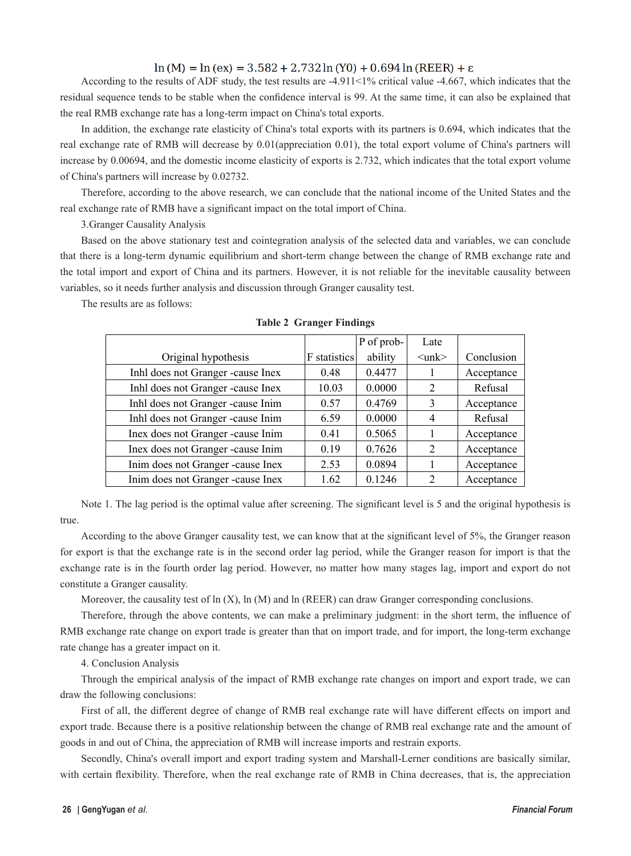$\ln(M) = \ln(\text{ex}) = 3.582 + 2.732 \ln(Y0) + 0.694 \ln(\text{REER}) + \epsilon$ 

According to the results of ADF study, the test results are -4.911<1% critical value -4.667, which indicates that the residual sequence tends to be stable when the confidence interval is 99. At the same time, it can also be explained that the real RMB exchange rate has a long-term impact on China's total exports.

In addition, the exchange rate elasticity of China's total exports with its partners is 0.694, which indicates that the real exchange rate of RMB will decrease by 0.01(appreciation 0.01), the total export volume of China's partners will increase by 0.00694, and the domestic income elasticity of exports is 2.732, which indicates that the total export volume of China's partners will increase by 0.02732.

Therefore, according to the above research, we can conclude that the national income of the United States and the real exchange rate of RMB have a significant impact on the total import of China.

3.Granger Causality Analysis

Based on the above stationary test and cointegration analysis of the selected data and variables, we can conclude that there is a long-term dynamic equilibrium and short-term change between the change of RMB exchange rate and the total import and export of China and its partners. However, it is not reliable for the inevitable causality between variables, so it needs further analysis and discussion through Granger causality test.

The results are as follows:

|                                    |              | P of prob- | Late                    |            |
|------------------------------------|--------------|------------|-------------------------|------------|
| Original hypothesis                | F statistics | ability    | $\langle$ unk $\rangle$ | Conclusion |
| Inhl does not Granger -cause Inex  | 0.48         | 0.4477     |                         | Acceptance |
| Inhl does not Granger -cause Inex  | 10.03        | 0.0000     | 2                       | Refusal    |
| Inhl does not Granger -cause Inim  | 0.57         | 0.4769     | 3                       | Acceptance |
| Inhl does not Granger -cause Inim  | 6.59         | 0.0000     | 4                       | Refusal    |
| Inex does not Granger -cause Inim  | 0.41         | 0.5065     |                         | Acceptance |
| Inex does not Granger -cause Inim  | 0.19         | 0.7626     | 2                       | Acceptance |
| Inim does not Granger -cause Inex  | 2.53         | 0.0894     |                         | Acceptance |
| Inim does not Granger - cause Inex | 1.62         | 0.1246     | $\overline{2}$          | Acceptance |

**Table 2 Granger Findings**

Note 1. The lag period is the optimal value after screening. The significant level is 5 and the original hypothesis is true.

According to the above Granger causality test, we can know that at the significant level of 5%, the Granger reason for export is that the exchange rate is in the second order lag period, while the Granger reason for import is that the exchange rate is in the fourth order lag period. However, no matter how many stages lag, import and export do not constitute a Granger causality.

Moreover, the causality test of ln (X), ln (M) and ln (REER) can draw Granger corresponding conclusions.

Therefore, through the above contents, we can make a preliminary judgment: in the short term, the influence of RMB exchange rate change on export trade is greater than that on import trade, and for import, the long-term exchange rate change has a greater impact on it.

4. Conclusion Analysis

Through the empirical analysis of the impact of RMB exchange rate changes on import and export trade, we can draw the following conclusions:

First of all, the different degree of change of RMB real exchange rate will have different effects on import and export trade. Because there is a positive relationship between the change of RMB real exchange rate and the amount of goods in and out of China, the appreciation of RMB will increase imports and restrain exports.

Secondly, China's overall import and export trading system and Marshall-Lerner conditions are basically similar, with certain flexibility. Therefore, when the real exchange rate of RMB in China decreases, that is, the appreciation